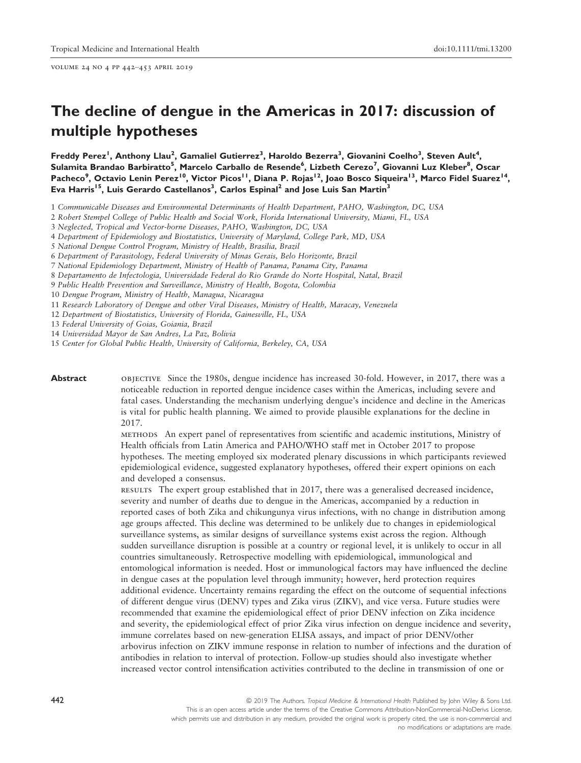volume 24 no 4 pp 442–453 april 2019

# The decline of dengue in the Americas in 2017: discussion of multiple hypotheses

Freddy Perez<sup>1</sup>, Anthony Llau<sup>2</sup>, Gamaliel Gutierrez<sup>3</sup>, Haroldo Bezerra<sup>3</sup>, Giovanini Coelho<sup>3</sup>, Steven Ault<sup>4</sup>, Sulamita Brandao Barbiratto<sup>5</sup>, Marcelo Carballo de Resende<sup>6</sup>, Lizbeth Cerezo<sup>7</sup>, Giovanni Luz Kleber<sup>8</sup>, Oscar Pacheco<sup>9</sup>, Octavio Lenin Perez<sup>10</sup>, Victor Picos<sup>11</sup>, Diana P. Rojas<sup>12</sup>, Joao Bosco Siqueira<sup>13</sup>, Marco Fidel Suarez<sup>14</sup>, Eva Harris<sup>15</sup>, Luis Gerardo Castellanos<sup>3</sup>, Carlos Espinal<sup>2</sup> and Jose Luis San Martin<sup>3</sup>

1 Communicable Diseases and Environmental Determinants of Health Department, PAHO, Washington, DC, USA

2 Robert Stempel College of Public Health and Social Work, Florida International University, Miami, FL, USA

3 Neglected, Tropical and Vector-borne Diseases, PAHO, Washington, DC, USA

- 4 Department of Epidemiology and Biostatistics, University of Maryland, College Park, MD, USA
- 5 National Dengue Control Program, Ministry of Health, Brasilia, Brazil
- 6 Department of Parasitology, Federal University of Minas Gerais, Belo Horizonte, Brazil
- 7 National Epidemiology Department, Ministry of Health of Panama, Panama City, Panama
- 8 Departamento de Infectologia, Universidade Federal do Rio Grande do Norte Hospital, Natal, Brazil
- 9 Public Health Prevention and Surveillance, Ministry of Health, Bogota, Colombia
- 10 Dengue Program, Ministry of Health, Managua, Nicaragua
- 11 Research Laboratory of Dengue and other Viral Diseases, Ministry of Health, Maracay, Venezuela
- 12 Department of Biostatistics, University of Florida, Gainesville, FL, USA
- 13 Federal University of Goias, Goiania, Brazil
- 14 Universidad Mayor de San Andres, La Paz, Bolivia

15 Center for Global Public Health, University of California, Berkeley, CA, USA

**Abstract** objective Since the 1980s, dengue incidence has increased 30-fold. However, in 2017, there was a noticeable reduction in reported dengue incidence cases within the Americas, including severe and fatal cases. Understanding the mechanism underlying dengue's incidence and decline in the Americas is vital for public health planning. We aimed to provide plausible explanations for the decline in 2017.

> methods An expert panel of representatives from scientific and academic institutions, Ministry of Health officials from Latin America and PAHO/WHO staff met in October 2017 to propose hypotheses. The meeting employed six moderated plenary discussions in which participants reviewed epidemiological evidence, suggested explanatory hypotheses, offered their expert opinions on each and developed a consensus.

results The expert group established that in 2017, there was a generalised decreased incidence, severity and number of deaths due to dengue in the Americas, accompanied by a reduction in reported cases of both Zika and chikungunya virus infections, with no change in distribution among age groups affected. This decline was determined to be unlikely due to changes in epidemiological surveillance systems, as similar designs of surveillance systems exist across the region. Although sudden surveillance disruption is possible at a country or regional level, it is unlikely to occur in all countries simultaneously. Retrospective modelling with epidemiological, immunological and entomological information is needed. Host or immunological factors may have influenced the decline in dengue cases at the population level through immunity; however, herd protection requires additional evidence. Uncertainty remains regarding the effect on the outcome of sequential infections of different dengue virus (DENV) types and Zika virus (ZIKV), and vice versa. Future studies were recommended that examine the epidemiological effect of prior DENV infection on Zika incidence and severity, the epidemiological effect of prior Zika virus infection on dengue incidence and severity, immune correlates based on new-generation ELISA assays, and impact of prior DENV/other arbovirus infection on ZIKV immune response in relation to number of infections and the duration of antibodies in relation to interval of protection. Follow-up studies should also investigate whether increased vector control intensification activities contributed to the decline in transmission of one or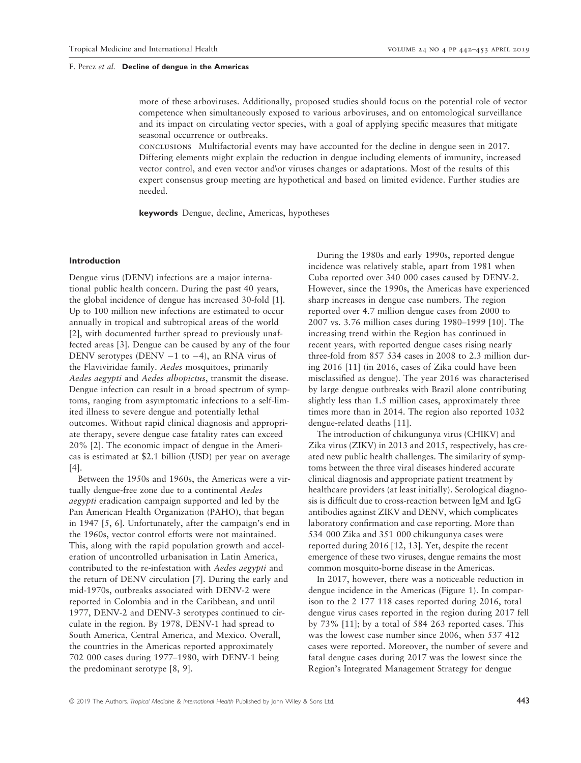more of these arboviruses. Additionally, proposed studies should focus on the potential role of vector competence when simultaneously exposed to various arboviruses, and on entomological surveillance and its impact on circulating vector species, with a goal of applying specific measures that mitigate seasonal occurrence or outbreaks.

conclusions Multifactorial events may have accounted for the decline in dengue seen in 2017. Differing elements might explain the reduction in dengue including elements of immunity, increased vector control, and even vector and\or viruses changes or adaptations. Most of the results of this expert consensus group meeting are hypothetical and based on limited evidence. Further studies are needed.

keywords Dengue, decline, Americas, hypotheses

#### Introduction

Dengue virus (DENV) infections are a major international public health concern. During the past 40 years, the global incidence of dengue has increased 30-fold [1]. Up to 100 million new infections are estimated to occur annually in tropical and subtropical areas of the world [2], with documented further spread to previously unaffected areas [3]. Dengue can be caused by any of the four DENV serotypes (DENV  $-1$  to  $-4$ ), an RNA virus of the Flaviviridae family. Aedes mosquitoes, primarily Aedes aegypti and Aedes albopictus, transmit the disease. Dengue infection can result in a broad spectrum of symptoms, ranging from asymptomatic infections to a self-limited illness to severe dengue and potentially lethal outcomes. Without rapid clinical diagnosis and appropriate therapy, severe dengue case fatality rates can exceed 20% [2]. The economic impact of dengue in the Americas is estimated at \$2.1 billion (USD) per year on average [4].

Between the 1950s and 1960s, the Americas were a virtually dengue-free zone due to a continental Aedes aegypti eradication campaign supported and led by the Pan American Health Organization (PAHO), that began in 1947 [5, 6]. Unfortunately, after the campaign's end in the 1960s, vector control efforts were not maintained. This, along with the rapid population growth and acceleration of uncontrolled urbanisation in Latin America, contributed to the re-infestation with Aedes aegypti and the return of DENV circulation [7]. During the early and mid-1970s, outbreaks associated with DENV-2 were reported in Colombia and in the Caribbean, and until 1977, DENV-2 and DENV-3 serotypes continued to circulate in the region. By 1978, DENV-1 had spread to South America, Central America, and Mexico. Overall, the countries in the Americas reported approximately 702 000 cases during 1977–1980, with DENV-1 being the predominant serotype [8, 9].

During the 1980s and early 1990s, reported dengue incidence was relatively stable, apart from 1981 when Cuba reported over 340 000 cases caused by DENV-2. However, since the 1990s, the Americas have experienced sharp increases in dengue case numbers. The region reported over 4.7 million dengue cases from 2000 to 2007 vs. 3.76 million cases during 1980–1999 [10]. The increasing trend within the Region has continued in recent years, with reported dengue cases rising nearly three-fold from 857 534 cases in 2008 to 2.3 million during 2016 [11] (in 2016, cases of Zika could have been misclassified as dengue). The year 2016 was characterised by large dengue outbreaks with Brazil alone contributing slightly less than 1.5 million cases, approximately three times more than in 2014. The region also reported 1032 dengue-related deaths [11].

The introduction of chikungunya virus (CHIKV) and Zika virus (ZIKV) in 2013 and 2015, respectively, has created new public health challenges. The similarity of symptoms between the three viral diseases hindered accurate clinical diagnosis and appropriate patient treatment by healthcare providers (at least initially). Serological diagnosis is difficult due to cross-reaction between IgM and IgG antibodies against ZIKV and DENV, which complicates laboratory confirmation and case reporting. More than 534 000 Zika and 351 000 chikungunya cases were reported during 2016 [12, 13]. Yet, despite the recent emergence of these two viruses, dengue remains the most common mosquito-borne disease in the Americas.

In 2017, however, there was a noticeable reduction in dengue incidence in the Americas (Figure 1). In comparison to the 2 177 118 cases reported during 2016, total dengue virus cases reported in the region during 2017 fell by 73% [11]; by a total of 584 263 reported cases. This was the lowest case number since 2006, when 537 412 cases were reported. Moreover, the number of severe and fatal dengue cases during 2017 was the lowest since the Region's Integrated Management Strategy for dengue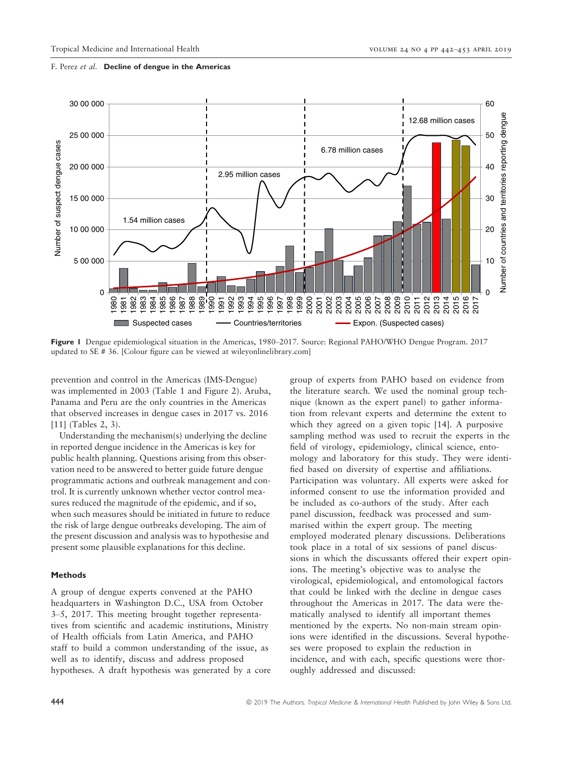



Figure 1 Dengue epidemiological situation in the Americas, 1980–2017. Source: Regional PAHO/WHO Dengue Program. 2017 updated to SE # 36. [Colour figure can be viewed at<wileyonlinelibrary.com>]

prevention and control in the Americas (IMS-Dengue) was implemented in 2003 (Table 1 and Figure 2). Aruba, Panama and Peru are the only countries in the Americas that observed increases in dengue cases in 2017 vs. 2016 [11] (Tables 2, 3).

Understanding the mechanism(s) underlying the decline in reported dengue incidence in the Americas is key for public health planning. Questions arising from this observation need to be answered to better guide future dengue programmatic actions and outbreak management and control. It is currently unknown whether vector control measures reduced the magnitude of the epidemic, and if so, when such measures should be initiated in future to reduce the risk of large dengue outbreaks developing. The aim of the present discussion and analysis was to hypothesise and present some plausible explanations for this decline.

#### Methods

A group of dengue experts convened at the PAHO headquarters in Washington D.C., USA from October 3–5, 2017. This meeting brought together representatives from scientific and academic institutions, Ministry of Health officials from Latin America, and PAHO staff to build a common understanding of the issue, as well as to identify, discuss and address proposed hypotheses. A draft hypothesis was generated by a core group of experts from PAHO based on evidence from the literature search. We used the nominal group technique (known as the expert panel) to gather information from relevant experts and determine the extent to which they agreed on a given topic [14]. A purposive sampling method was used to recruit the experts in the field of virology, epidemiology, clinical science, entomology and laboratory for this study. They were identified based on diversity of expertise and affiliations. Participation was voluntary. All experts were asked for informed consent to use the information provided and be included as co-authors of the study. After each panel discussion, feedback was processed and summarised within the expert group. The meeting employed moderated plenary discussions. Deliberations took place in a total of six sessions of panel discussions in which the discussants offered their expert opinions. The meeting's objective was to analyse the virological, epidemiological, and entomological factors that could be linked with the decline in dengue cases throughout the Americas in 2017. The data were thematically analysed to identify all important themes mentioned by the experts. No non-main stream opinions were identified in the discussions. Several hypotheses were proposed to explain the reduction in incidence, and with each, specific questions were thoroughly addressed and discussed: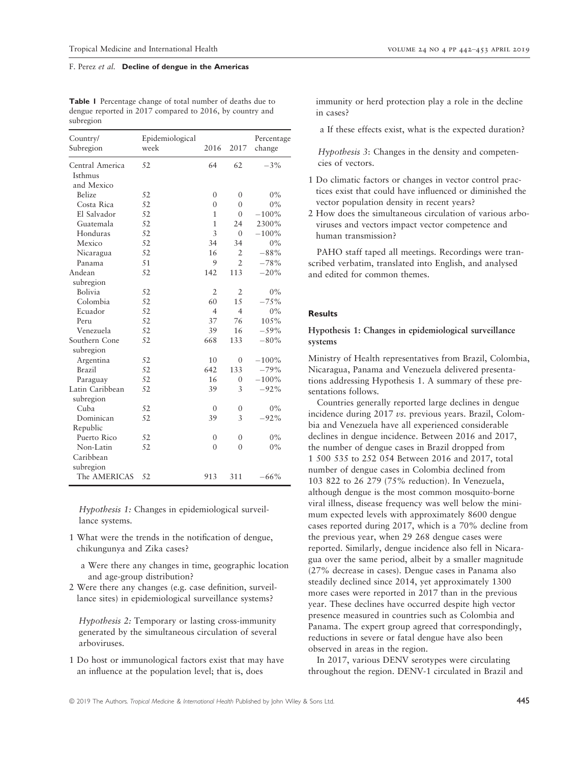Table 1 Percentage change of total number of deaths due to dengue reported in 2017 compared to 2016, by country and subregion

| Country/<br>Subregion | Epidemiological<br>week | 2016           | 2017                        | Percentage<br>change |
|-----------------------|-------------------------|----------------|-----------------------------|----------------------|
| Central America       | 52                      | 64             | 62                          | $-3%$                |
| Isthmus               |                         |                |                             |                      |
| and Mexico            |                         |                |                             |                      |
| Belize                | 52                      | $\mathbf{0}$   | $\mathbf{0}$                | $0\%$                |
| Costa Rica            | 52                      | $\theta$       | $\theta$                    | $0\%$                |
| El Salvador           | 52                      | 1              | $\theta$                    | $-100%$              |
| Guatemala             | 52                      | 1              | 24                          | 2300%                |
| Honduras              | 52                      | 3              | $\theta$                    | $-100%$              |
| Mexico                | 52                      | 34             | 34                          | $0\%$                |
| Nicaragua             | 52                      | 16             | $\overline{2}$              | $-88\%$              |
| Panama                | 51                      | 9              | $\mathcal{D}_{\mathcal{A}}$ | $-78%$               |
| Andean                | 52                      | 142            | 113                         | $-20%$               |
| subregion             |                         |                |                             |                      |
| Bolivia               | 52                      | $\overline{2}$ | $\overline{2}$              | $0\%$                |
| Colombia              | 52                      | 60             | 1.5                         | $-75%$               |
| Ecuador               | 52                      | 4              | 4                           | $0\%$                |
| Peru                  | 52                      | 37             | 76                          | 105%                 |
| Venezuela             | 52                      | 39             | 16                          | $-59%$               |
| Southern Cone         | 52                      | 668            | 133                         | $-80%$               |
| subregion             |                         |                |                             |                      |
| Argentina             | 52                      | 10             | $\theta$                    | $-100%$              |
| Brazil                | 52                      | 642            | 133                         | $-79%$               |
| Paraguay              | 52                      | 16             | $\mathbf{0}$                | $-100%$              |
| Latin Caribbean       | 52                      | 39             | 3                           | $-92%$               |
| subregion             |                         |                |                             |                      |
| Cuba                  | 52                      | $\theta$       | $\mathbf{0}$                | $0\%$                |
| Dominican             | 52                      | 39             | 3                           | $-92%$               |
| Republic              |                         |                |                             |                      |
| Puerto Rico           | 52                      | $\mathbf{0}$   | $\theta$                    | $0\%$                |
| Non-Latin             | 52                      | $\theta$       | $\theta$                    | 0%                   |
| Caribbean             |                         |                |                             |                      |
| subregion             |                         |                |                             |                      |
| The AMERICAS          | 52                      | 913            | 311                         | $-66%$               |
|                       |                         |                |                             |                      |

Hypothesis 1: Changes in epidemiological surveillance systems.

1 What were the trends in the notification of dengue, chikungunya and Zika cases?

a Were there any changes in time, geographic location and age-group distribution?

2 Were there any changes (e.g. case definition, surveillance sites) in epidemiological surveillance systems?

Hypothesis 2: Temporary or lasting cross-immunity generated by the simultaneous circulation of several arboviruses.

1 Do host or immunological factors exist that may have an influence at the population level; that is, does

immunity or herd protection play a role in the decline in cases?

a If these effects exist, what is the expected duration?

Hypothesis 3: Changes in the density and competencies of vectors.

- 1 Do climatic factors or changes in vector control practices exist that could have influenced or diminished the vector population density in recent years?
- 2 How does the simultaneous circulation of various arboviruses and vectors impact vector competence and human transmission?

PAHO staff taped all meetings. Recordings were transcribed verbatim, translated into English, and analysed and edited for common themes.

### **Results**

### Hypothesis 1: Changes in epidemiological surveillance systems

Ministry of Health representatives from Brazil, Colombia, Nicaragua, Panama and Venezuela delivered presentations addressing Hypothesis 1. A summary of these presentations follows.

Countries generally reported large declines in dengue incidence during 2017 vs. previous years. Brazil, Colombia and Venezuela have all experienced considerable declines in dengue incidence. Between 2016 and 2017, the number of dengue cases in Brazil dropped from 1 500 535 to 252 054 Between 2016 and 2017, total number of dengue cases in Colombia declined from 103 822 to 26 279 (75% reduction). In Venezuela, although dengue is the most common mosquito-borne viral illness, disease frequency was well below the minimum expected levels with approximately 8600 dengue cases reported during 2017, which is a 70% decline from the previous year, when 29 268 dengue cases were reported. Similarly, dengue incidence also fell in Nicaragua over the same period, albeit by a smaller magnitude (27% decrease in cases). Dengue cases in Panama also steadily declined since 2014, yet approximately 1300 more cases were reported in 2017 than in the previous year. These declines have occurred despite high vector presence measured in countries such as Colombia and Panama. The expert group agreed that correspondingly, reductions in severe or fatal dengue have also been observed in areas in the region.

In 2017, various DENV serotypes were circulating throughout the region. DENV-1 circulated in Brazil and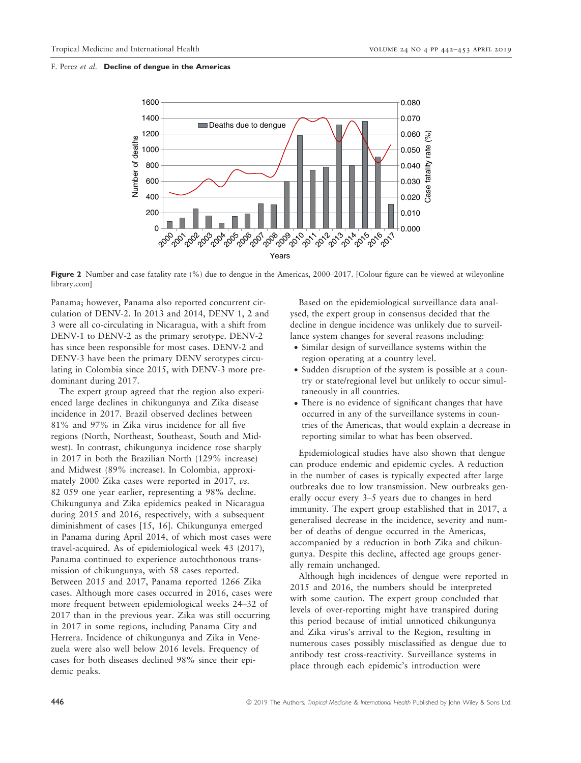

Figure 2 Number and case fatality rate (%) due to dengue in the Americas, 2000–2017. [Colour figure can be viewed at [wileyonline](wileyonlinelibrary.com) [library.com\]](wileyonlinelibrary.com)

Panama; however, Panama also reported concurrent circulation of DENV-2. In 2013 and 2014, DENV 1, 2 and 3 were all co-circulating in Nicaragua, with a shift from DENV-1 to DENV-2 as the primary serotype. DENV-2 has since been responsible for most cases. DENV-2 and DENV-3 have been the primary DENV serotypes circulating in Colombia since 2015, with DENV-3 more predominant during 2017.

The expert group agreed that the region also experienced large declines in chikungunya and Zika disease incidence in 2017. Brazil observed declines between 81% and 97% in Zika virus incidence for all five regions (North, Northeast, Southeast, South and Midwest). In contrast, chikungunya incidence rose sharply in 2017 in both the Brazilian North (129% increase) and Midwest (89% increase). In Colombia, approximately 2000 Zika cases were reported in 2017, vs. 82 059 one year earlier, representing a 98% decline. Chikungunya and Zika epidemics peaked in Nicaragua during 2015 and 2016, respectively, with a subsequent diminishment of cases [15, 16]. Chikungunya emerged in Panama during April 2014, of which most cases were travel-acquired. As of epidemiological week 43 (2017), Panama continued to experience autochthonous transmission of chikungunya, with 58 cases reported. Between 2015 and 2017, Panama reported 1266 Zika cases. Although more cases occurred in 2016, cases were more frequent between epidemiological weeks 24–32 of 2017 than in the previous year. Zika was still occurring in 2017 in some regions, including Panama City and Herrera. Incidence of chikungunya and Zika in Venezuela were also well below 2016 levels. Frequency of cases for both diseases declined 98% since their epidemic peaks.

Based on the epidemiological surveillance data analysed, the expert group in consensus decided that the decline in dengue incidence was unlikely due to surveillance system changes for several reasons including:

- Similar design of surveillance systems within the region operating at a country level.
- Sudden disruption of the system is possible at a country or state/regional level but unlikely to occur simultaneously in all countries.
- There is no evidence of significant changes that have occurred in any of the surveillance systems in countries of the Americas, that would explain a decrease in reporting similar to what has been observed.

Epidemiological studies have also shown that dengue can produce endemic and epidemic cycles. A reduction in the number of cases is typically expected after large outbreaks due to low transmission. New outbreaks generally occur every 3–5 years due to changes in herd immunity. The expert group established that in 2017, a generalised decrease in the incidence, severity and number of deaths of dengue occurred in the Americas, accompanied by a reduction in both Zika and chikungunya. Despite this decline, affected age groups generally remain unchanged.

Although high incidences of dengue were reported in 2015 and 2016, the numbers should be interpreted with some caution. The expert group concluded that levels of over-reporting might have transpired during this period because of initial unnoticed chikungunya and Zika virus's arrival to the Region, resulting in numerous cases possibly misclassified as dengue due to antibody test cross-reactivity. Surveillance systems in place through each epidemic's introduction were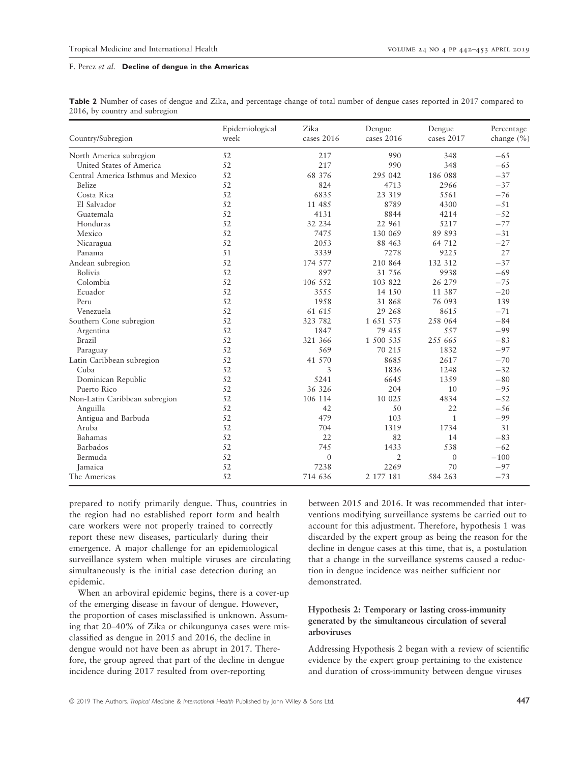| Country/Subregion                  | Epidemiological<br>week | Zika<br>cases 2016 | Dengue<br>cases 2016 | Dengue<br>cases 2017 | Percentage<br>change (%) |
|------------------------------------|-------------------------|--------------------|----------------------|----------------------|--------------------------|
| North America subregion            | 52                      | 217                | 990                  | 348                  | $-65$                    |
| United States of America           | 52                      | 217                | 990                  | 348                  | $-65$                    |
| Central America Isthmus and Mexico | 52                      | 68 376             | 295 042              | 186 088              | $-37$                    |
| Belize                             | 52                      | 824                | 4713                 | 2966                 | $-37$                    |
| Costa Rica                         | 52                      | 6835               | 23 319               | 5561                 | $-76$                    |
| El Salvador                        | 52                      | 11 485             | 8789                 | 4300                 | $-51$                    |
| Guatemala                          | 52                      | 4131               | 8844                 | 4214                 | $-52$                    |
| Honduras                           | 52                      | 32 234             | 22 961               | 5217                 | $-77$                    |
| Mexico                             | 52                      | 7475               | 130 069              | 89 893               | $-31$                    |
| Nicaragua                          | 52                      | 2053               | 88 463               | 64 712               | $-27$                    |
| Panama                             | 51                      | 3339               | 7278                 | 9225                 | 27                       |
| Andean subregion                   | 52                      | 174 577            | 210 864              | 132 312              | $-37$                    |
| Bolivia                            | 52                      | 897                | 31 756               | 9938                 | $-69$                    |
| Colombia                           | 52                      | 106 552            | 103 822              | 26 279               | $-75$                    |
| Ecuador                            | 52                      | 3555               | 14 150               | 11 387               | $-20$                    |
| Peru                               | 52                      | 1958               | 31 868               | 76 093               | 139                      |
| Venezuela                          | 52                      | 61 615             | 29 268               | 8615                 | $-71$                    |
| Southern Cone subregion            | 52                      | 323 782            | 1 651 575            | 258 064              | $-84$                    |
| Argentina                          | 52                      | 1847               | 79 455               | 557                  | $-99$                    |
| Brazil                             | 52                      | 321 366            | 1 500 535            | 255 665              | $-83$                    |
| Paraguay                           | 52                      | 569                | 70 215               | 1832                 | $-97$                    |
| Latin Caribbean subregion          | 52                      | 41 570             | 8685                 | 2617                 | $-70$                    |
| Cuba                               | 52                      | 3                  | 1836                 | 1248                 | $-32$                    |
| Dominican Republic                 | 52                      | 5241               | 6645                 | 1359                 | $-80$                    |
| Puerto Rico                        | 52                      | 36 326             | 204                  | 10                   | $-95$                    |
| Non-Latin Caribbean subregion      | 52                      | 106 114            | 10 025               | 4834                 | $-52$                    |
| Anguilla                           | 52                      | 42                 | 50                   | 22                   | $-56$                    |
| Antigua and Barbuda                | 52                      | 479                | 103                  | 1                    | $-99$                    |
| Aruba                              | 52                      | 704                | 1319                 | 1734                 | 31                       |
| Bahamas                            | 52                      | 22                 | 82                   | 14                   | $-83$                    |
| Barbados                           | 52                      | 745                | 1433                 | 538                  | $-62$                    |
| Bermuda                            | 52                      | $\overline{0}$     | $\overline{2}$       | $\mathbf{0}$         | $-100$                   |
| Jamaica                            | 52                      | 7238               | 2269                 | 70                   | $-97$                    |
| The Americas                       | 52                      | 714 636            | 2 177 181            | 584 263              | $-73$                    |

Table 2 Number of cases of dengue and Zika, and percentage change of total number of dengue cases reported in 2017 compared to 2016, by country and subregion

prepared to notify primarily dengue. Thus, countries in the region had no established report form and health care workers were not properly trained to correctly report these new diseases, particularly during their emergence. A major challenge for an epidemiological surveillance system when multiple viruses are circulating simultaneously is the initial case detection during an epidemic.

When an arboviral epidemic begins, there is a cover-up of the emerging disease in favour of dengue. However, the proportion of cases misclassified is unknown. Assuming that 20–40% of Zika or chikungunya cases were misclassified as dengue in 2015 and 2016, the decline in dengue would not have been as abrupt in 2017. Therefore, the group agreed that part of the decline in dengue incidence during 2017 resulted from over-reporting

between 2015 and 2016. It was recommended that interventions modifying surveillance systems be carried out to account for this adjustment. Therefore, hypothesis 1 was discarded by the expert group as being the reason for the decline in dengue cases at this time, that is, a postulation that a change in the surveillance systems caused a reduction in dengue incidence was neither sufficient nor demonstrated.

# Hypothesis 2: Temporary or lasting cross-immunity generated by the simultaneous circulation of several arboviruses

Addressing Hypothesis 2 began with a review of scientific evidence by the expert group pertaining to the existence and duration of cross-immunity between dengue viruses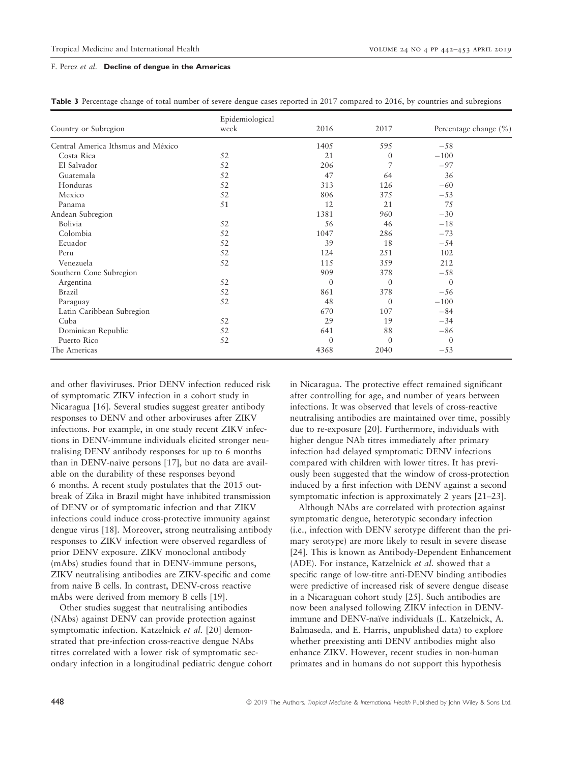|  |  |  |  | Table 3 Percentage change of total number of severe dengue cases reported in 2017 compared to 2016, by countries and subregions |  |  |  |
|--|--|--|--|---------------------------------------------------------------------------------------------------------------------------------|--|--|--|
|--|--|--|--|---------------------------------------------------------------------------------------------------------------------------------|--|--|--|

|                                    | Epidemiological |                |          |                       |  |
|------------------------------------|-----------------|----------------|----------|-----------------------|--|
| Country or Subregion               | week            | 2016           | 2017     | Percentage change (%) |  |
| Central America Ithsmus and México |                 | 1405           | 595      | $-58$                 |  |
| Costa Rica                         | 52              | 21             | $\theta$ | $-100$                |  |
| El Salvador                        | 52              | 206            | 7        | $-97$                 |  |
| Guatemala                          | 52              | 47             | 64       | 36                    |  |
| Honduras                           | 52              | 313            | 126      | $-60$                 |  |
| Mexico                             | 52              | 806            | 375      | $-53$                 |  |
| Panama                             | 51              | 12             | 21       | 75                    |  |
| Andean Subregion                   |                 | 1381           | 960      | $-30$                 |  |
| Bolivia                            | 52              | 56             | 46       | $-18$                 |  |
| Colombia                           | 52              | 1047           | 286      | $-73$                 |  |
| Ecuador                            | 52              | 39             | 18       | $-54$                 |  |
| Peru                               | 52              | 124            | 251      | 102                   |  |
| Venezuela                          | 52              | 115            | 359      | 212                   |  |
| Southern Cone Subregion            |                 | 909            | 378      | $-58$                 |  |
| Argentina                          | 52              | $\overline{0}$ | $\Omega$ | $\theta$              |  |
| Brazil                             | 52              | 861            | 378      | $-56$                 |  |
| Paraguay                           | 52              | 48             | $\Omega$ | $-100$                |  |
| Latin Caribbean Subregion          |                 | 670            | 107      | $-84$                 |  |
| Cuba                               | 52              | 29             | 19       | $-34$                 |  |
| Dominican Republic                 | 52              | 641            | 88       | $-86$                 |  |
| Puerto Rico                        | 52              | $\theta$       | $\Omega$ | $\overline{0}$        |  |
| The Americas                       |                 | 4368           | 2040     | $-53$                 |  |

and other flaviviruses. Prior DENV infection reduced risk of symptomatic ZIKV infection in a cohort study in Nicaragua [16]. Several studies suggest greater antibody responses to DENV and other arboviruses after ZIKV infections. For example, in one study recent ZIKV infections in DENV-immune individuals elicited stronger neutralising DENV antibody responses for up to 6 months than in DENV-naïve persons [17], but no data are available on the durability of these responses beyond 6 months. A recent study postulates that the 2015 outbreak of Zika in Brazil might have inhibited transmission of DENV or of symptomatic infection and that ZIKV infections could induce cross-protective immunity against dengue virus [18]. Moreover, strong neutralising antibody responses to ZIKV infection were observed regardless of prior DENV exposure. ZIKV monoclonal antibody (mAbs) studies found that in DENV-immune persons, ZIKV neutralising antibodies are ZIKV-specific and come from naive B cells. In contrast, DENV-cross reactive mAbs were derived from memory B cells [19].

Other studies suggest that neutralising antibodies (NAbs) against DENV can provide protection against symptomatic infection. Katzelnick et al. [20] demonstrated that pre-infection cross-reactive dengue NAbs titres correlated with a lower risk of symptomatic secondary infection in a longitudinal pediatric dengue cohort in Nicaragua. The protective effect remained significant after controlling for age, and number of years between infections. It was observed that levels of cross-reactive neutralising antibodies are maintained over time, possibly due to re-exposure [20]. Furthermore, individuals with higher dengue NAb titres immediately after primary infection had delayed symptomatic DENV infections compared with children with lower titres. It has previously been suggested that the window of cross-protection induced by a first infection with DENV against a second symptomatic infection is approximately 2 years [21–23].

Although NAbs are correlated with protection against symptomatic dengue, heterotypic secondary infection (i.e., infection with DENV serotype different than the primary serotype) are more likely to result in severe disease [24]. This is known as Antibody-Dependent Enhancement (ADE). For instance, Katzelnick et al. showed that a specific range of low-titre anti-DENV binding antibodies were predictive of increased risk of severe dengue disease in a Nicaraguan cohort study [25]. Such antibodies are now been analysed following ZIKV infection in DENVimmune and DENV-naïve individuals (L. Katzelnick, A. Balmaseda, and E. Harris, unpublished data) to explore whether preexisting anti DENV antibodies might also enhance ZIKV. However, recent studies in non-human primates and in humans do not support this hypothesis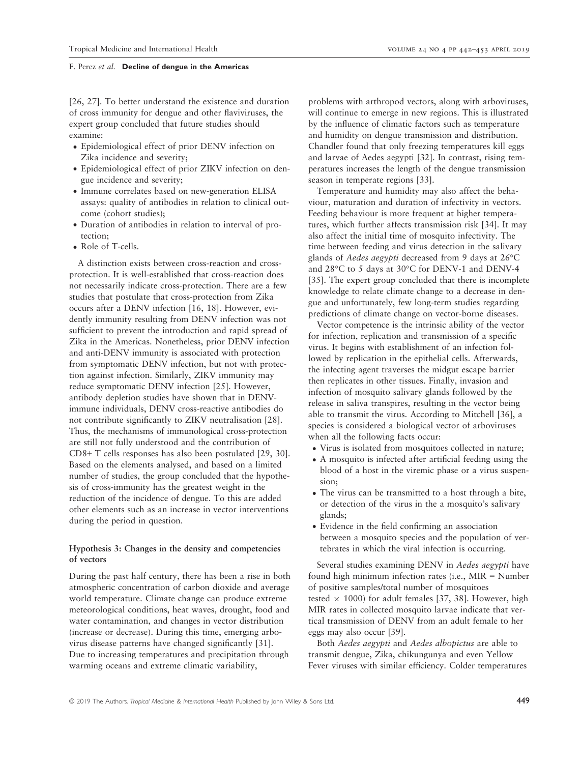[26, 27]. To better understand the existence and duration of cross immunity for dengue and other flaviviruses, the expert group concluded that future studies should examine:

- Epidemiological effect of prior DENV infection on Zika incidence and severity;
- Epidemiological effect of prior ZIKV infection on dengue incidence and severity;
- Immune correlates based on new-generation ELISA assays: quality of antibodies in relation to clinical outcome (cohort studies);
- Duration of antibodies in relation to interval of protection;
- Role of T-cells.

A distinction exists between cross-reaction and crossprotection. It is well-established that cross-reaction does not necessarily indicate cross-protection. There are a few studies that postulate that cross-protection from Zika occurs after a DENV infection [16, 18]. However, evidently immunity resulting from DENV infection was not sufficient to prevent the introduction and rapid spread of Zika in the Americas. Nonetheless, prior DENV infection and anti-DENV immunity is associated with protection from symptomatic DENV infection, but not with protection against infection. Similarly, ZIKV immunity may reduce symptomatic DENV infection [25]. However, antibody depletion studies have shown that in DENVimmune individuals, DENV cross-reactive antibodies do not contribute significantly to ZIKV neutralisation [28]. Thus, the mechanisms of immunological cross-protection are still not fully understood and the contribution of CD8+ T cells responses has also been postulated [29, 30]. Based on the elements analysed, and based on a limited number of studies, the group concluded that the hypothesis of cross-immunity has the greatest weight in the reduction of the incidence of dengue. To this are added other elements such as an increase in vector interventions during the period in question.

## Hypothesis 3: Changes in the density and competencies of vectors

During the past half century, there has been a rise in both atmospheric concentration of carbon dioxide and average world temperature. Climate change can produce extreme meteorological conditions, heat waves, drought, food and water contamination, and changes in vector distribution (increase or decrease). During this time, emerging arbovirus disease patterns have changed significantly [31]. Due to increasing temperatures and precipitation through warming oceans and extreme climatic variability,

problems with arthropod vectors, along with arboviruses, will continue to emerge in new regions. This is illustrated by the influence of climatic factors such as temperature and humidity on dengue transmission and distribution. Chandler found that only freezing temperatures kill eggs and larvae of Aedes aegypti [32]. In contrast, rising temperatures increases the length of the dengue transmission season in temperate regions [33].

Temperature and humidity may also affect the behaviour, maturation and duration of infectivity in vectors. Feeding behaviour is more frequent at higher temperatures, which further affects transmission risk [34]. It may also affect the initial time of mosquito infectivity. The time between feeding and virus detection in the salivary glands of Aedes aegypti decreased from 9 days at 26°C and 28°C to 5 days at 30°C for DENV-1 and DENV-4 [35]. The expert group concluded that there is incomplete knowledge to relate climate change to a decrease in dengue and unfortunately, few long-term studies regarding predictions of climate change on vector-borne diseases.

Vector competence is the intrinsic ability of the vector for infection, replication and transmission of a specific virus. It begins with establishment of an infection followed by replication in the epithelial cells. Afterwards, the infecting agent traverses the midgut escape barrier then replicates in other tissues. Finally, invasion and infection of mosquito salivary glands followed by the release in saliva transpires, resulting in the vector being able to transmit the virus. According to Mitchell [36], a species is considered a biological vector of arboviruses when all the following facts occur:

- Virus is isolated from mosquitoes collected in nature;
- A mosquito is infected after artificial feeding using the blood of a host in the viremic phase or a virus suspension;
- The virus can be transmitted to a host through a bite, or detection of the virus in the a mosquito's salivary glands;
- Evidence in the field confirming an association between a mosquito species and the population of vertebrates in which the viral infection is occurring.

Several studies examining DENV in Aedes aegypti have found high minimum infection rates (i.e., MIR = Number of positive samples/total number of mosquitoes tested  $\times$  1000) for adult females [37, 38]. However, high MIR rates in collected mosquito larvae indicate that vertical transmission of DENV from an adult female to her eggs may also occur [39].

Both Aedes aegypti and Aedes albopictus are able to transmit dengue, Zika, chikungunya and even Yellow Fever viruses with similar efficiency. Colder temperatures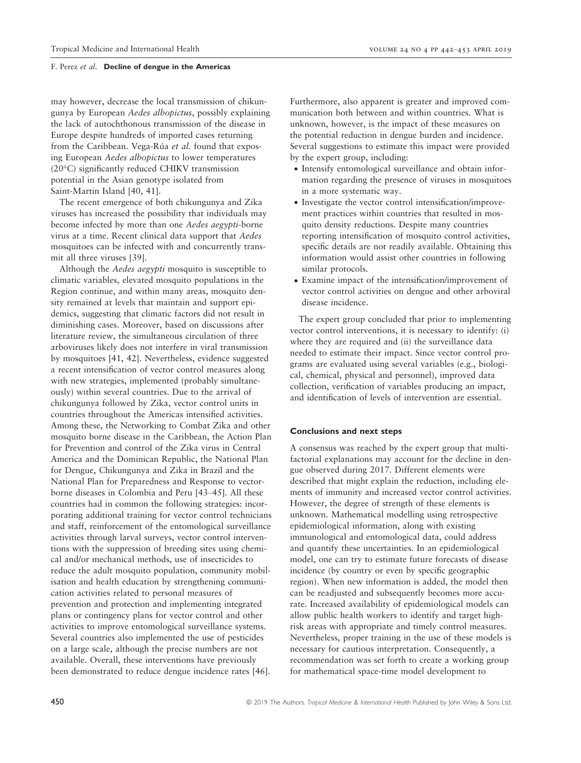may however, decrease the local transmission of chikungunya by European Aedes albopictus, possibly explaining the lack of autochthonous transmission of the disease in Europe despite hundreds of imported cases returning from the Caribbean. Vega-Rúa *et al*. found that exposing European Aedes albopictus to lower temperatures (20°C) significantly reduced CHIKV transmission potential in the Asian genotype isolated from Saint-Martin Island [40, 41].

The recent emergence of both chikungunya and Zika viruses has increased the possibility that individuals may become infected by more than one Aedes aegypti-borne virus at a time. Recent clinical data support that Aedes mosquitoes can be infected with and concurrently transmit all three viruses [39].

Although the Aedes aegypti mosquito is susceptible to climatic variables, elevated mosquito populations in the Region continue, and within many areas, mosquito density remained at levels that maintain and support epidemics, suggesting that climatic factors did not result in diminishing cases. Moreover, based on discussions after literature review, the simultaneous circulation of three arboviruses likely does not interfere in viral transmission by mosquitoes [41, 42]. Nevertheless, evidence suggested a recent intensification of vector control measures along with new strategies, implemented (probably simultaneously) within several countries. Due to the arrival of chikungunya followed by Zika, vector control units in countries throughout the Americas intensified activities. Among these, the Networking to Combat Zika and other mosquito borne disease in the Caribbean, the Action Plan for Prevention and control of the Zika virus in Central America and the Dominican Republic, the National Plan for Dengue, Chikungunya and Zika in Brazil and the National Plan for Preparedness and Response to vectorborne diseases in Colombia and Peru [43–45]. All these countries had in common the following strategies: incorporating additional training for vector control technicians and staff, reinforcement of the entomological surveillance activities through larval surveys, vector control interventions with the suppression of breeding sites using chemical and/or mechanical methods, use of insecticides to reduce the adult mosquito population, community mobilisation and health education by strengthening communication activities related to personal measures of prevention and protection and implementing integrated plans or contingency plans for vector control and other activities to improve entomological surveillance systems. Several countries also implemented the use of pesticides on a large scale, although the precise numbers are not available. Overall, these interventions have previously been demonstrated to reduce dengue incidence rates [46].

Furthermore, also apparent is greater and improved communication both between and within countries. What is unknown, however, is the impact of these measures on the potential reduction in dengue burden and incidence. Several suggestions to estimate this impact were provided by the expert group, including:

- Intensify entomological surveillance and obtain information regarding the presence of viruses in mosquitoes in a more systematic way.
- Investigate the vector control intensification/improvement practices within countries that resulted in mosquito density reductions. Despite many countries reporting intensification of mosquito control activities, specific details are not readily available. Obtaining this information would assist other countries in following similar protocols.
- Examine impact of the intensification/improvement of vector control activities on dengue and other arboviral disease incidence.

The expert group concluded that prior to implementing vector control interventions, it is necessary to identify: (i) where they are required and (ii) the surveillance data needed to estimate their impact. Since vector control programs are evaluated using several variables (e.g., biological, chemical, physical and personnel), improved data collection, verification of variables producing an impact, and identification of levels of intervention are essential.

#### Conclusions and next steps

A consensus was reached by the expert group that multifactorial explanations may account for the decline in dengue observed during 2017. Different elements were described that might explain the reduction, including elements of immunity and increased vector control activities. However, the degree of strength of these elements is unknown. Mathematical modelling using retrospective epidemiological information, along with existing immunological and entomological data, could address and quantify these uncertainties. In an epidemiological model, one can try to estimate future forecasts of disease incidence (by country or even by specific geographic region). When new information is added, the model then can be readjusted and subsequently becomes more accurate. Increased availability of epidemiological models can allow public health workers to identify and target highrisk areas with appropriate and timely control measures. Nevertheless, proper training in the use of these models is necessary for cautious interpretation. Consequently, a recommendation was set forth to create a working group for mathematical space-time model development to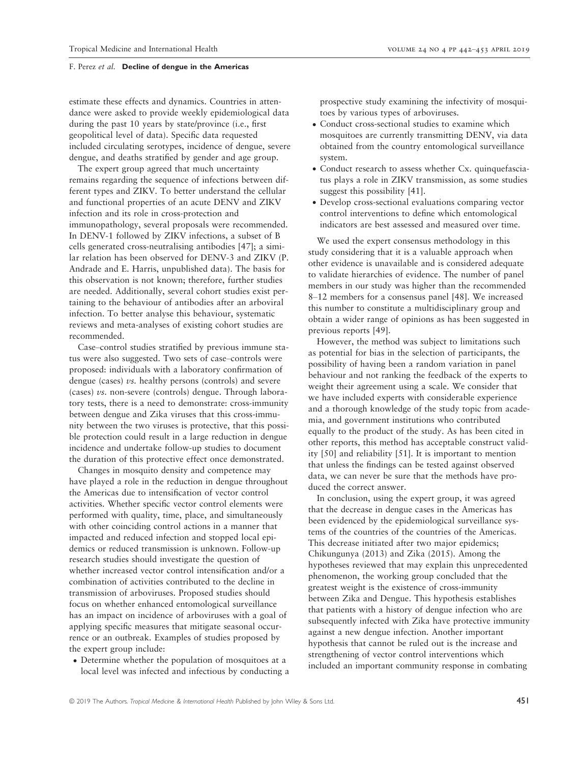estimate these effects and dynamics. Countries in attendance were asked to provide weekly epidemiological data during the past 10 years by state/province (i.e., first geopolitical level of data). Specific data requested included circulating serotypes, incidence of dengue, severe dengue, and deaths stratified by gender and age group.

The expert group agreed that much uncertainty remains regarding the sequence of infections between different types and ZIKV. To better understand the cellular and functional properties of an acute DENV and ZIKV infection and its role in cross-protection and immunopathology, several proposals were recommended. In DENV-1 followed by ZIKV infections, a subset of B cells generated cross-neutralising antibodies [47]; a similar relation has been observed for DENV-3 and ZIKV (P. Andrade and E. Harris, unpublished data). The basis for this observation is not known; therefore, further studies are needed. Additionally, several cohort studies exist pertaining to the behaviour of antibodies after an arboviral infection. To better analyse this behaviour, systematic reviews and meta-analyses of existing cohort studies are recommended.

Case–control studies stratified by previous immune status were also suggested. Two sets of case–controls were proposed: individuals with a laboratory confirmation of dengue (cases) vs. healthy persons (controls) and severe (cases) vs. non-severe (controls) dengue. Through laboratory tests, there is a need to demonstrate: cross-immunity between dengue and Zika viruses that this cross-immunity between the two viruses is protective, that this possible protection could result in a large reduction in dengue incidence and undertake follow-up studies to document the duration of this protective effect once demonstrated.

Changes in mosquito density and competence may have played a role in the reduction in dengue throughout the Americas due to intensification of vector control activities. Whether specific vector control elements were performed with quality, time, place, and simultaneously with other coinciding control actions in a manner that impacted and reduced infection and stopped local epidemics or reduced transmission is unknown. Follow-up research studies should investigate the question of whether increased vector control intensification and/or a combination of activities contributed to the decline in transmission of arboviruses. Proposed studies should focus on whether enhanced entomological surveillance has an impact on incidence of arboviruses with a goal of applying specific measures that mitigate seasonal occurrence or an outbreak. Examples of studies proposed by the expert group include:

• Determine whether the population of mosquitoes at a local level was infected and infectious by conducting a prospective study examining the infectivity of mosquitoes by various types of arboviruses.

- Conduct cross-sectional studies to examine which mosquitoes are currently transmitting DENV, via data obtained from the country entomological surveillance system.
- Conduct research to assess whether Cx. quinquefasciatus plays a role in ZIKV transmission, as some studies suggest this possibility [41].
- Develop cross-sectional evaluations comparing vector control interventions to define which entomological indicators are best assessed and measured over time.

We used the expert consensus methodology in this study considering that it is a valuable approach when other evidence is unavailable and is considered adequate to validate hierarchies of evidence. The number of panel members in our study was higher than the recommended 8–12 members for a consensus panel [48]. We increased this number to constitute a multidisciplinary group and obtain a wider range of opinions as has been suggested in previous reports [49].

However, the method was subject to limitations such as potential for bias in the selection of participants, the possibility of having been a random variation in panel behaviour and not ranking the feedback of the experts to weight their agreement using a scale. We consider that we have included experts with considerable experience and a thorough knowledge of the study topic from academia, and government institutions who contributed equally to the product of the study. As has been cited in other reports, this method has acceptable construct validity [50] and reliability [51]. It is important to mention that unless the findings can be tested against observed data, we can never be sure that the methods have produced the correct answer.

In conclusion, using the expert group, it was agreed that the decrease in dengue cases in the Americas has been evidenced by the epidemiological surveillance systems of the countries of the countries of the Americas. This decrease initiated after two major epidemics; Chikungunya (2013) and Zika (2015). Among the hypotheses reviewed that may explain this unprecedented phenomenon, the working group concluded that the greatest weight is the existence of cross-immunity between Zika and Dengue. This hypothesis establishes that patients with a history of dengue infection who are subsequently infected with Zika have protective immunity against a new dengue infection. Another important hypothesis that cannot be ruled out is the increase and strengthening of vector control interventions which included an important community response in combating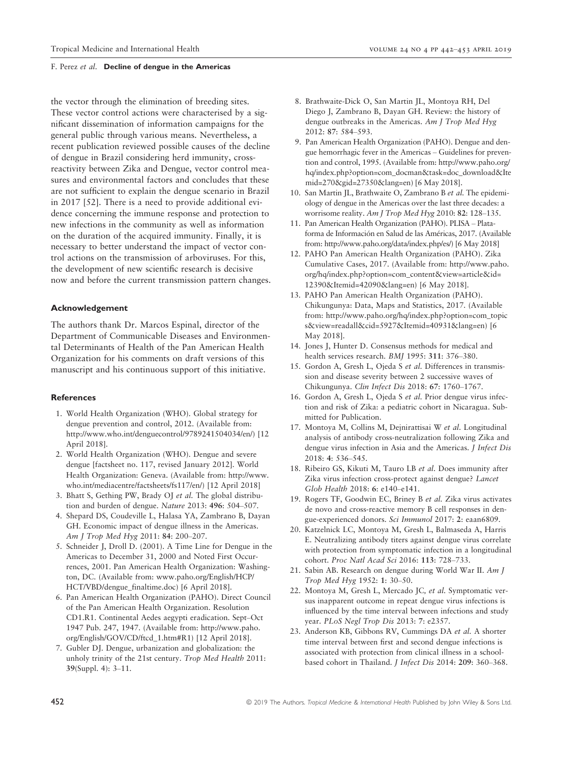the vector through the elimination of breeding sites. These vector control actions were characterised by a significant dissemination of information campaigns for the general public through various means. Nevertheless, a recent publication reviewed possible causes of the decline of dengue in Brazil considering herd immunity, crossreactivity between Zika and Dengue, vector control measures and environmental factors and concludes that these are not sufficient to explain the dengue scenario in Brazil in 2017 [52]. There is a need to provide additional evidence concerning the immune response and protection to new infections in the community as well as information on the duration of the acquired immunity. Finally, it is necessary to better understand the impact of vector control actions on the transmission of arboviruses. For this, the development of new scientific research is decisive now and before the current transmission pattern changes.

#### Acknowledgement

The authors thank Dr. Marcos Espinal, director of the Department of Communicable Diseases and Environmental Determinants of Health of the Pan American Health Organization for his comments on draft versions of this manuscript and his continuous support of this initiative.

#### **References**

- 1. World Health Organization (WHO). Global strategy for dengue prevention and control, 2012. (Available from: [http://www.who.int/denguecontrol/9789241504034/en/\)](http://www.who.int/denguecontrol/9789241504034/en/) [12 April 2018].
- 2. World Health Organization (WHO). Dengue and severe dengue [factsheet no. 117, revised January 2012]. World Health Organization: Geneva. (Available from: [http://www.](http://www.who.int/mediacentre/factsheets/fs117/en/) [who.int/mediacentre/factsheets/fs117/en/](http://www.who.int/mediacentre/factsheets/fs117/en/)) [12 April 2018]
- 3. Bhatt S, Gething PW, Brady OJ et al. The global distribution and burden of dengue. Nature 2013: 496: 504–507.
- 4. Shepard DS, Coudeville L, Halasa YA, Zambrano B, Dayan GH. Economic impact of dengue illness in the Americas. Am J Trop Med Hyg 2011: 84: 200–207.
- 5. Schneider J, Droll D. (2001). A Time Line for Dengue in the Americas to December 31, 2000 and Noted First Occurrences, 2001. Pan American Health Organization: Washington, DC. (Available from: [www.paho.org/English/HCP/](http://www.paho.org/English/HCP/HCT/VBD/dengue_finaltime.doc) [HCT/VBD/dengue\\_finaltime.doc](http://www.paho.org/English/HCP/HCT/VBD/dengue_finaltime.doc)) [6 April 2018].
- 6. Pan American Health Organization (PAHO). Direct Council of the Pan American Health Organization. Resolution CD1.R1. Continental Aedes aegypti eradication. Sept–Oct 1947 Pub. 247, 1947. (Available from: [http://www.paho.](http://www.paho.org/English/GOV/CD/ftcd_1.htm#R1) [org/English/GOV/CD/ftcd\\_1.htm#R1\)](http://www.paho.org/English/GOV/CD/ftcd_1.htm#R1) [12 April 2018].
- 7. Gubler DJ. Dengue, urbanization and globalization: the unholy trinity of the 21st century. Trop Med Health 2011: 39(Suppl. 4): 3–11.
- 8. Brathwaite-Dick O, San Martin JL, Montoya RH, Del Diego J, Zambrano B, Dayan GH. Review: the history of dengue outbreaks in the Americas. Am J Trop Med Hyg 2012: 87: 584–593.
- 9. Pan American Health Organization (PAHO). Dengue and dengue hemorrhagic fever in the Americas – Guidelines for prevention and control, 1995. (Available from: [http://www.paho.org/](http://www.paho.org/hq/index.php?option=com_docman&task=doc_download&Itemid=270&gid=27350&lang=en) [hq/index.php?option=com\\_docman&task=doc\\_download&Ite](http://www.paho.org/hq/index.php?option=com_docman&task=doc_download&Itemid=270&gid=27350&lang=en) [mid=270&gid=27350&lang=en](http://www.paho.org/hq/index.php?option=com_docman&task=doc_download&Itemid=270&gid=27350&lang=en)) [6 May 2018].
- 10. San Martin JL, Brathwaite O, Zambrano B et al. The epidemiology of dengue in the Americas over the last three decades: a worrisome reality. Am J Trop Med Hyg 2010: 82: 128–135.
- 11. Pan American Health Organization (PAHO). PLISA Plataforma de Información en Salud de las Américas, 2017. (Available from:<http://www.paho.org/data/index.php/es/>) [6 May 2018]
- 12. PAHO Pan American Health Organization (PAHO). Zika Cumulative Cases, 2017. (Available from: [http://www.paho.](http://www.paho.org/hq/index.php?option=com_content&view=article&id=12390&Itemid=42090&lang=en) [org/hq/index.php?option=com\\_content&view=article&id=](http://www.paho.org/hq/index.php?option=com_content&view=article&id=12390&Itemid=42090&lang=en) [12390&Itemid=42090&lang=en\)](http://www.paho.org/hq/index.php?option=com_content&view=article&id=12390&Itemid=42090&lang=en) [6 May 2018].
- 13. PAHO Pan American Health Organization (PAHO). Chikungunya: Data, Maps and Statistics, 2017. (Available from: [http://www.paho.org/hq/index.php?option=com\\_topic](http://www.paho.org/hq/index.php?option=com_topics&view=readall&cid=5927&Itemid=40931&lang=en) [s&view=readall&cid=5927&Itemid=40931&lang=en\)](http://www.paho.org/hq/index.php?option=com_topics&view=readall&cid=5927&Itemid=40931&lang=en) [6 May 2018].
- 14. Jones J, Hunter D. Consensus methods for medical and health services research. BMJ 1995: 311: 376–380.
- 15. Gordon A, Gresh L, Ojeda S et al. Differences in transmission and disease severity between 2 successive waves of Chikungunya. Clin Infect Dis 2018: 67: 1760–1767.
- 16. Gordon A, Gresh L, Ojeda S et al. Prior dengue virus infection and risk of Zika: a pediatric cohort in Nicaragua. Submitted for Publication.
- 17. Montoya M, Collins M, Dejnirattisai W et al. Longitudinal analysis of antibody cross-neutralization following Zika and dengue virus infection in Asia and the Americas. J Infect Dis 2018: 4: 536–545.
- 18. Ribeiro GS, Kikuti M, Tauro LB et al. Does immunity after Zika virus infection cross-protect against dengue? Lancet Glob Health 2018: 6: e140–e141.
- 19. Rogers TF, Goodwin EC, Briney B et al. Zika virus activates de novo and cross-reactive memory B cell responses in dengue-experienced donors. Sci Immunol 2017: 2: eaan6809.
- 20. Katzelnick LC, Montoya M, Gresh L, Balmaseda A, Harris E. Neutralizing antibody titers against dengue virus correlate with protection from symptomatic infection in a longitudinal cohort. Proc Natl Acad Sci 2016: 113: 728–733.
- 21. Sabin AB. Research on dengue during World War II. Am J Trop Med Hyg 1952: 1: 30–50.
- 22. Montoya M, Gresh L, Mercado JC, et al. Symptomatic versus inapparent outcome in repeat dengue virus infections is influenced by the time interval between infections and study year. PLoS Negl Trop Dis 2013: 7: e2357.
- 23. Anderson KB, Gibbons RV, Cummings DA et al. A shorter time interval between first and second dengue infections is associated with protection from clinical illness in a schoolbased cohort in Thailand. J Infect Dis 2014: 209: 360–368.